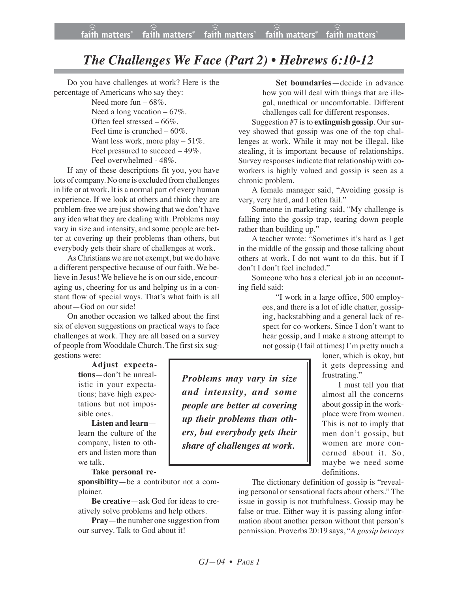## *The Challenges We Face (Part 2) • Hebrews 6:10-12*

Do you have challenges at work? Here is the percentage of Americans who say they:

> Need more fun – 68%. Need a long vacation  $-67\%$ . Often feel stressed – 66%. Feel time is crunched – 60%. Want less work, more play  $-51\%$ . Feel pressured to succeed – 49%. Feel overwhelmed - 48%.

If any of these descriptions fit you, you have lots of company. No one is excluded from challenges in life or at work. It is a normal part of every human experience. If we look at others and think they are problem-free we are just showing that we don't have any idea what they are dealing with. Problems may vary in size and intensity, and some people are better at covering up their problems than others, but everybody gets their share of challenges at work.

AsChristians we are not exempt, but we do have a different perspective because of our faith. We believe in Jesus! We believe he is on our side, encouraging us, cheering for us and helping us in a constant flow of special ways. That's what faith is all about—God on our side!

On another occasion we talked about the first six of eleven suggestions on practical ways to face challenges at work. They are all based on a survey of people from Wooddale Church. The first six suggestions were:

> **Adjust expectations**—don't be unrealistic in your expectations; have high expectations but not impossible ones.

**Listen and learn** learn the culture of the company, listen to others and listen more than we talk.

**Take personal re-**

**sponsibility**—be a contributor not a complainer.

**Be creative**—ask God for ideas to creatively solve problems and help others.

**Pray**—the number one suggestion from our survey. Talk to God about it!

**Set boundaries**—decide in advance how you will deal with things that are illegal, unethical or uncomfortable. Different challenges call for different responses.

Suggestion #7 isto **extinguish gossip**. Oursurvey showed that gossip was one of the top challenges at work. While it may not be illegal, like stealing, it is important because of relationships. Survey responses indicate that relationship with coworkers is highly valued and gossip is seen as a chronic problem.

A female manager said, "Avoiding gossip is very, very hard, and I often fail."

Someone in marketing said, "My challenge is falling into the gossip trap, tearing down people rather than building up."

A teacher wrote: "Sometimes it's hard as I get in the middle of the gossip and those talking about others at work. I do not want to do this, but if I don't I don't feel included."

Someone who has a clerical job in an accounting field said:

> "I work in a large office, 500 employees, and there is a lot of idle chatter, gossiping, backstabbing and a general lack of respect for co-workers. Since I don't want to hear gossip, and I make a strong attempt to not gossip (I fail at times) I'm pretty much a

> > loner, which is okay, but it gets depressing and frustrating."

I must tell you that almost all the concerns about gossip in the workplace were from women. This is not to imply that men don't gossip, but women are more concerned about it. So, maybe we need some definitions.

The dictionary definition of gossip is "revealing personal or sensational facts about others." The issue in gossip is not truthfulness. Gossip may be false or true. Either way it is passing along information about another person without that person's permission. Proverbs 20:19 says, "*A gossip betrays*

*Problems may vary in size and intensity, and some people are better at covering up their problems than others, but everybody gets their share of challenges at work.*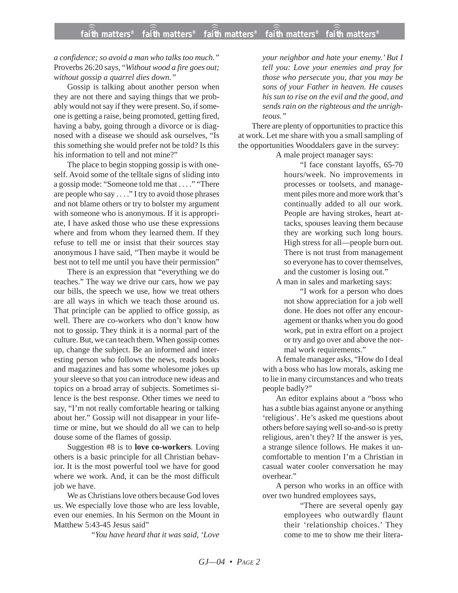*a confidence; so avoid a man who talks too much."* Proverbs 26:20 says, "*Without wood a fire goes out; without gossip a quarrel dies down."*

Gossip is talking about another person when they are not there and saying things that we probably would not say if they were present. So, if someone is getting a raise, being promoted, getting fired, having a baby, going through a divorce or is diagnosed with a disease we should ask ourselves, "Is this something she would prefer not be told? Is this his information to tell and not mine?"

The place to begin stopping gossip is with oneself. Avoid some of the telltale signs of sliding into a gossip mode: "Someone told me that . . . ." "There are people who say . . . ." I try to avoid those phrases and not blame others or try to bolster my argument with someone who is anonymous. If it is appropriate, I have asked those who use these expressions where and from whom they learned them. If they refuse to tell me or insist that their sources stay anonymous I have said, "Then maybe it would be best not to tell me until you have their permission"

There is an expression that "everything we do teaches." The way we drive our cars, how we pay our bills, the speech we use, how we treat others are all ways in which we teach those around us. That principle can be applied to office gossip, as well. There are co-workers who don't know how not to gossip. They think it is a normal part of the culture. But, we can teach them. When gossip comes up, change the subject. Be an informed and interesting person who follows the news, reads books and magazines and has some wholesome jokes up your sleeve so that you can introduce new ideas and topics on a broad array of subjects. Sometimes silence is the best response. Other times we need to say, "I'm not really comfortable hearing or talking about her." Gossip will not disappear in your lifetime or mine, but we should do all we can to help douse some of the flames of gossip.

Suggestion #8 is to **love co-workers**. Loving others is a basic principle for all Christian behavior. It is the most powerful tool we have for good where we work. And, it can be the most difficult job we have.

We as Christians love others because God loves us. We especially love those who are less lovable, even our enemies. In his Sermon on the Mount in Matthew 5:43-45 Jesus said"

"*You have heard that it was said, 'Love*

*your neighbor and hate your enemy.' But I tell you: Love your enemies and pray for those who persecute you, that you may be sons of your Father in heaven. He causes his sun to rise on the evil and the good, and sends rain on the righteous and the unrighteous."*

There are plenty of opportunities to practice this at work. Let me share with you a small sampling of the opportunities Wooddalers gave in the survey:

A male project manager says:

"I face constant layoffs, 65-70 hours/week. No improvements in processes or toolsets, and management piles more and more work that's continually added to all our work. People are having strokes, heart attacks, spouses leaving them because they are working such long hours. High stress for all—people burn out. There is not trust from management so everyone has to cover themselves, and the customer is losing out."

A man in sales and marketing says:

"I work for a person who does not show appreciation for a job well done. He does not offer any encouragement or thanks when you do good work, put in extra effort on a project or try and go over and above the normal work requirements."

A female manager asks, "How do I deal with a boss who has low morals, asking me to lie in many circumstances and who treats people badly?"

An editor explains about a "boss who has a subtle bias against anyone or anything 'religious'. He's asked me questions about others before saying well so-and-so is pretty religious, aren't they? If the answer is yes, a strange silence follows. He makes it uncomfortable to mention I'm a Christian in casual water cooler conversation he may overhear."

A person who works in an office with over two hundred employees says,

> "There are several openly gay employees who outwardly flaunt their 'relationship choices.' They come to me to show me their litera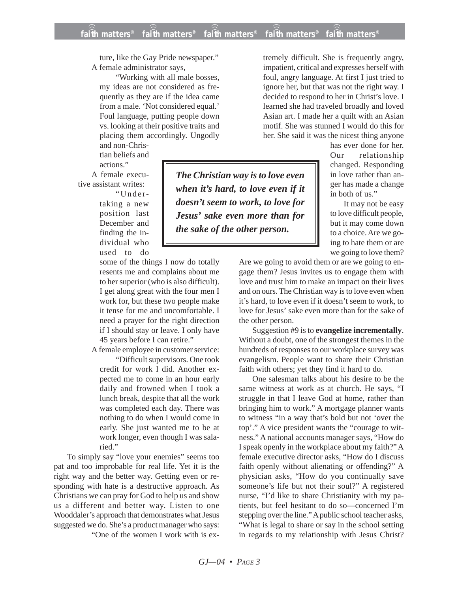*The Christian way is to love even when it's hard, to love even if it doesn't seem to work, to love for Jesus' sake even more than for*

*the sake of the other person.*

ture, like the Gay Pride newspaper." A female administrator says,

"Working with all male bosses, my ideas are not considered as frequently as they are if the idea came from a male. 'Not considered equal.' Foul language, putting people down vs. looking at their positive traits and placing them accordingly. Ungodly

and non-Christian beliefs and actions."

A female executive assistant writes:

"Undertaking a new position last December and finding the individual who used to do

some of the things I now do totally resents me and complains about me to her superior (who is also difficult). I get along great with the four men I work for, but these two people make it tense for me and uncomfortable. I need a prayer for the right direction if I should stay or leave. I only have 45 years before I can retire."

A female employee in customer service:

"Difficult supervisors. One took credit for work I did. Another expected me to come in an hour early daily and frowned when I took a lunch break, despite that all the work was completed each day. There was nothing to do when I would come in early. She just wanted me to be at work longer, even though I was salaried."

To simply say "love your enemies" seems too pat and too improbable for real life. Yet it is the right way and the better way. Getting even or responding with hate is a destructive approach. As Christians we can pray for God to help us and show us a different and better way. Listen to one Wooddaler's approach that demonstrates what Jesus suggested we do. She's a product manager who says:

"One of the women I work with is ex-

tremely difficult. She is frequently angry, impatient, critical and expresses herself with foul, angry language. At first I just tried to ignore her, but that was not the right way. I decided to respond to her in Christ's love. I learned she had traveled broadly and loved Asian art. I made her a quilt with an Asian motif. She was stunned I would do this for her. She said it was the nicest thing anyone

> has ever done for her. Our relationship changed. Responding in love rather than anger has made a change in both of us."

> It may not be easy to love difficult people, but it may come down to a choice. Are we going to hate them or are we going to love them?

Are we going to avoid them or are we going to engage them? Jesus invites us to engage them with love and trust him to make an impact on their lives and on ours. The Christian way is to love even when it's hard, to love even if it doesn't seem to work, to love for Jesus' sake even more than for the sake of the other person.

Suggestion #9 is to **evangelize incrementally**. Without a doubt, one of the strongest themes in the hundreds of responses to our workplace survey was evangelism. People want to share their Christian faith with others; yet they find it hard to do.

One salesman talks about his desire to be the same witness at work as at church. He says, "I struggle in that I leave God at home, rather than bringing him to work." A mortgage planner wants to witness "in a way that's bold but not 'over the top'." A vice president wants the "courage to witness." A national accounts manager says, "How do I speak openly in the workplace about my faith?" A female executive director asks, "How do I discuss faith openly without alienating or offending?" A physician asks, "How do you continually save someone's life but not their soul?" A registered nurse, "I'd like to share Christianity with my patients, but feel hesitant to do so—concerned I'm stepping over the line." A public school teacher asks, "What is legal to share or say in the school setting in regards to my relationship with Jesus Christ?